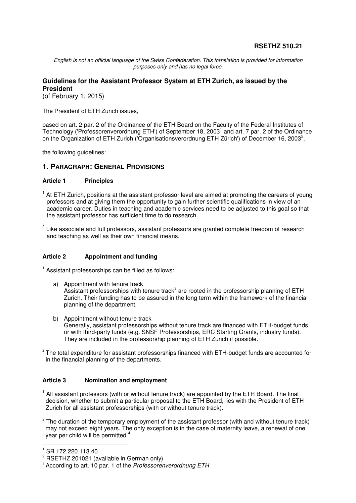# **RSETHZ 510.21**

English is not an official language of the Swiss Confederation. This translation is provided for information purposes only and has no legal force.

### **Guidelines for the Assistant Professor System at ETH Zurich, as issued by the President**

(of February 1, 2015)

The President of ETH Zurich issues,

based on art. 2 par. 2 of the Ordinance of the ETH Board on the Faculty of the Federal Institutes of Technology ('Professorenverordnung ETH') of September 18, 2003<sup>1</sup> and art. 7 par. 2 of the Ordinance on the Organization of ETH Zurich (Organisationsverordnung ETH Zürich') of December 16, 2003<sup>2</sup>,

the following guidelines:

### **1. PARAGRAPH: GENERAL PROVISIONS**

#### **Article 1 Principles**

- <sup>1</sup> At ETH Zurich, positions at the assistant professor level are aimed at promoting the careers of young professors and at giving them the opportunity to gain further scientific qualifications in view of an academic career. Duties in teaching and academic services need to be adjusted to this goal so that the assistant professor has sufficient time to do research.
- $2$  Like associate and full professors, assistant professors are granted complete freedom of research and teaching as well as their own financial means.

#### **Article 2 Appointment and funding**

<sup>1</sup> Assistant professorships can be filled as follows:

- a) Appointment with tenure track Assistant professorships with tenure track<sup>3</sup> are rooted in the professorship planning of ETH Zurich. Their funding has to be assured in the long term within the framework of the financial planning of the department.
- b) Appointment without tenure track Generally, assistant professorships without tenure track are financed with ETH-budget funds or with third-party funds (e.g. SNSF Professorships, ERC Starting Grants, industry funds). They are included in the professorship planning of ETH Zurich if possible.
- $2$  The total expenditure for assistant professorships financed with ETH-budget funds are accounted for in the financial planning of the departments.

#### **Article 3 Nomination and employment**

- <sup>1</sup> All assistant professors (with or without tenure track) are appointed by the ETH Board. The final decision, whether to submit a particular proposal to the ETH Board, lies with the President of ETH Zurich for all assistant professorships (with or without tenure track).
- $2$  The duration of the temporary employment of the assistant professor (with and without tenure track) may not exceed eight years. The only exception is in the case of maternity leave, a renewal of one year per child will be permitted.<sup>4</sup>

l

 $^{1}$  SR 172.220.113.40

<sup>&</sup>lt;sup>2</sup> RSETHZ 201021 (available in German only)

<sup>&</sup>lt;sup>3</sup> According to art. 10 par. 1 of the Professorenverordnung ETH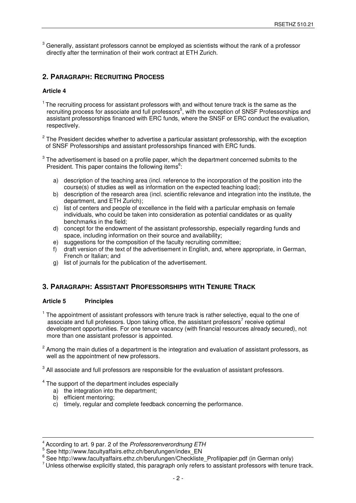$^3$  Generally, assistant professors cannot be employed as scientists without the rank of a professor directly after the termination of their work contract at ETH Zurich.

# **2. PARAGRAPH: RECRUITING PROCESS**

### **Article 4**

- $1$  The recruiting process for assistant professors with and without tenure track is the same as the recruiting process for associate and full professors<sup>5</sup>, with the exception of SNSF Professorships and assistant professorships financed with ERC funds, where the SNSF or ERC conduct the evaluation, respectively.
- $2$  The President decides whether to advertise a particular assistant professorship, with the exception of SNSF Professorships and assistant professorships financed with ERC funds.
- $3$  The advertisement is based on a profile paper, which the department concerned submits to the President. This paper contains the following items<sup>6</sup>:
	- a) description of the teaching area (incl. reference to the incorporation of the position into the course(s) of studies as well as information on the expected teaching load);
	- b) description of the research area (incl. scientific relevance and integration into the institute, the department, and ETH Zurich);
	- c) list of centers and people of excellence in the field with a particular emphasis on female individuals, who could be taken into consideration as potential candidates or as quality benchmarks in the field;
	- d) concept for the endowment of the assistant professorship, especially regarding funds and space, including information on their source and availability;
	- e) suggestions for the composition of the faculty recruiting committee;
	- f) draft version of the text of the advertisement in English, and, where appropriate, in German, French or Italian; and
	- g) list of journals for the publication of the advertisement.

### **3. PARAGRAPH: ASSISTANT PROFESSORSHIPS WITH TENURE TRACK**

#### **Article 5 Principles**

- <sup>1</sup> The appointment of assistant professors with tenure track is rather selective, equal to the one of associate and full professors. Upon taking office, the assistant professors<sup>7</sup> receive optimal development opportunities. For one tenure vacancy (with financial resources already secured), not more than one assistant professor is appointed.
- $2$  Among the main duties of a department is the integration and evaluation of assistant professors, as well as the appointment of new professors.

 $3$  All associate and full professors are responsible for the evaluation of assistant professors.

- <sup>4</sup> The support of the department includes especially
	- a) the integration into the department;
	- b) efficient mentoring;

 $\overline{a}$ 

c) timely, regular and complete feedback concerning the performance.

<sup>&</sup>lt;sup>4</sup> According to art. 9 par. 2 of the Professorenverordnung ETH

<sup>5</sup> See http://www.facultyaffairs.ethz.ch/berufungen/index\_EN

<sup>6</sup> See http://www.facultyaffairs.ethz.ch/berufungen/Checkliste\_Profilpapier.pdf (in German only)

 $<sup>7</sup>$  Unless otherwise explicitly stated, this paragraph only refers to assistant professors with tenure track.</sup>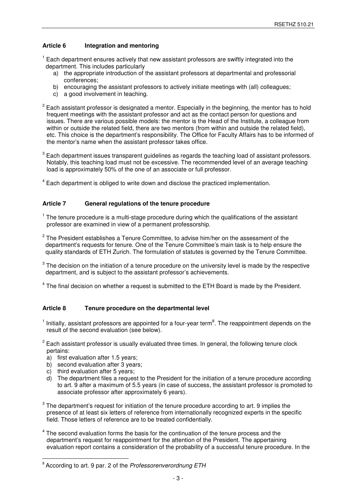### **Article 6 Integration and mentoring**

- <sup>1</sup> Each department ensures actively that new assistant professors are swiftly integrated into the department. This includes particularly
	- a) the appropriate introduction of the assistant professors at departmental and professorial conferences;
	- b) encouraging the assistant professors to actively initiate meetings with (all) colleagues;
	- c) a good involvement in teaching.
- $2$  Each assistant professor is designated a mentor. Especially in the beginning, the mentor has to hold frequent meetings with the assistant professor and act as the contact person for questions and issues. There are various possible models: the mentor is the Head of the Institute, a colleague from within or outside the related field, there are two mentors (from within and outside the related field), etc. This choice is the department's responsibility. The Office for Faculty Affairs has to be informed of the mentor's name when the assistant professor takes office.
- $^3$  Each department issues transparent guidelines as regards the teaching load of assistant professors. Notably, this teaching load must not be excessive. The recommended level of an average teaching load is approximately 50% of the one of an associate or full professor.
- <sup>4</sup> Each department is obliged to write down and disclose the practiced implementation.

#### **Article 7 General regulations of the tenure procedure**

- <sup>1</sup> The tenure procedure is a multi-stage procedure during which the qualifications of the assistant professor are examined in view of a permanent professorship.
- $2$  The President establishes a Tenure Committee, to advise him/her on the assessment of the department's requests for tenure. One of the Tenure Committee's main task is to help ensure the quality standards of ETH Zurich. The formulation of statutes is governed by the Tenure Committee.
- $3$  The decision on the initiation of a tenure procedure on the university level is made by the respective department, and is subject to the assistant professor's achievements.
- <sup>4</sup> The final decision on whether a request is submitted to the ETH Board is made by the President.

#### **Article 8 Tenure procedure on the departmental level**

- $1$  Initially, assistant professors are appointed for a four-year term<sup>8</sup>. The reappointment depends on the result of the second evaluation (see below).
- $2$  Each assistant professor is usually evaluated three times. In general, the following tenure clock pertains:
	- a) first evaluation after 1.5 years;
	- b) second evaluation after 3 years;
	- c) third evaluation after 5 years;

 $\overline{a}$ 

- d) The department files a request to the President for the initiation of a tenure procedure according to art. 9 after a maximum of 5.5 years (in case of success, the assistant professor is promoted to associate professor after approximately 6 years).
- $3$  The department's request for initiation of the tenure procedure according to art. 9 implies the presence of at least six letters of reference from internationally recognized experts in the specific field. Those letters of reference are to be treated confidentially.
- $4$  The second evaluation forms the basis for the continuation of the tenure process and the department's request for reappointment for the attention of the President. The appertaining evaluation report contains a consideration of the probability of a successful tenure procedure. In the

<sup>&</sup>lt;sup>8</sup> According to art. 9 par. 2 of the Professorenverordnung ETH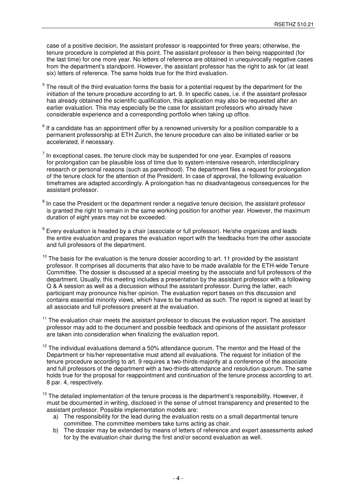case of a positive decision, the assistant professor is reappointed for three years; otherwise, the tenure procedure is completed at this point. The assistant professor is then being reappointed (for the last time) for one more year. No letters of reference are obtained in unequivocally negative cases from the department's standpoint. However, the assistant professor has the right to ask for (at least six) letters of reference. The same holds true for the third evaluation.

- 5 The result of the third evaluation forms the basis for a potential request by the department for the initiation of the tenure procedure according to art. 9. In specific cases, i.e. if the assistant professor has already obtained the scientific qualification, this application may also be requested after an earlier evaluation. This may especially be the case for assistant professors who already have considerable experience and a corresponding portfolio when taking up office.
- $^6$  If a candidate has an appointment offer by a renowned university for a position comparable to a permanent professorship at ETH Zurich, the tenure procedure can also be initiated earlier or be accelerated, if necessary.
- $<sup>7</sup>$  In exceptional cases, the tenure clock may be suspended for one year. Examples of reasons</sup> for prolongation can be plausible loss of time due to system-intensive research, interdisciplinary research or personal reasons (such as parenthood). The department files a request for prolongation of the tenure clock for the attention of the President. In case of approval, the following evaluation timeframes are adapted accordingly. A prolongation has no disadvantageous consequences for the assistant professor.
- $8$  In case the President or the department render a negative tenure decision, the assistant professor is granted the right to remain in the same working position for another year. However, the maximum duration of eight years may not be exceeded.
- $^9$  Every evaluation is headed by a chair (associate or full professor). He/she organizes and leads the entire evaluation and prepares the evaluation report with the feedbacks from the other associate and full professors of the department.
- $10$  The basis for the evaluation is the tenure dossier according to art. 11 provided by the assistant professor. It comprises all documents that also have to be made available for the ETH-wide Tenure Committee. The dossier is discussed at a special meeting by the associate and full professors of the department. Usually, this meeting includes a presentation by the assistant professor with a following Q & A session as well as a discussion without the assistant professor. During the latter, each participant may pronounce his/her opinion. The evaluation report bases on this discussion and contains essential minority views, which have to be marked as such. The report is signed at least by all associate and full professors present at the evaluation.
- $11$  The evaluation chair meets the assistant professor to discuss the evaluation report. The assistant professor may add to the document and possible feedback and opinions of the assistant professor are taken into consideration when finalizing the evaluation report.
- $12$  The individual evaluations demand a 50% attendance quorum. The mentor and the Head of the Department or his/her representative must attend all evaluations. The request for initiation of the tenure procedure according to art. 9 requires a two-thirds-majority at a conference of the associate and full professors of the department with a two-thirds-attendance and resolution quorum. The same holds true for the proposal for reappointment and continuation of the tenure process according to art. 8 par. 4, respectively.
- $13$  The detailed implementation of the tenure process is the department's responsibility. However, it must be documented in writing, disclosed in the sense of utmost transparency and presented to the assistant professor. Possible implementation models are:
	- a) The responsibility for the lead during the evaluation rests on a small departmental tenure committee. The committee members take turns acting as chair.
	- b) The dossier may be extended by means of letters of reference and expert assessments asked for by the evaluation chair during the first and/or second evaluation as well.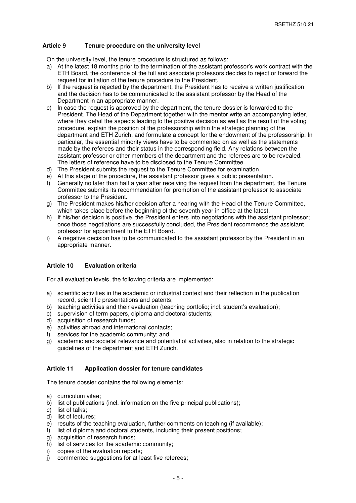### **Article 9 Tenure procedure on the university level**

On the university level, the tenure procedure is structured as follows:

- a) At the latest 18 months prior to the termination of the assistant professor's work contract with the ETH Board, the conference of the full and associate professors decides to reject or forward the request for initiation of the tenure procedure to the President.
- b) If the request is rejected by the department, the President has to receive a written justification and the decision has to be communicated to the assistant professor by the Head of the Department in an appropriate manner.
- c) In case the request is approved by the department, the tenure dossier is forwarded to the President. The Head of the Department together with the mentor write an accompanying letter, where they detail the aspects leading to the positive decision as well as the result of the voting procedure, explain the position of the professorship within the strategic planning of the department and ETH Zurich, and formulate a concept for the endowment of the professorship. In particular, the essential minority views have to be commented on as well as the statements made by the referees and their status in the corresponding field. Any relations between the assistant professor or other members of the department and the referees are to be revealed. The letters of reference have to be disclosed to the Tenure Committee.
- d) The President submits the request to the Tenure Committee for examination.
- e) At this stage of the procedure, the assistant professor gives a public presentation.
- f) Generally no later than half a year after receiving the request from the department, the Tenure Committee submits its recommendation for promotion of the assistant professor to associate professor to the President.
- g) The President makes his/her decision after a hearing with the Head of the Tenure Committee, which takes place before the beginning of the seventh year in office at the latest.
- h) If his/her decision is positive, the President enters into negotiations with the assistant professor; once those negotiations are successfully concluded, the President recommends the assistant professor for appointment to the ETH Board.
- i) A negative decision has to be communicated to the assistant professor by the President in an appropriate manner.

#### **Article 10 Evaluation criteria**

For all evaluation levels, the following criteria are implemented:

- a) scientific activities in the academic or industrial context and their reflection in the publication record, scientific presentations and patents;
- b) teaching activities and their evaluation (teaching portfolio; incl. student's evaluation);
- c) supervision of term papers, diploma and doctoral students;
- d) acquisition of research funds;
- e) activities abroad and international contacts;
- f) services for the academic community; and
- g) academic and societal relevance and potential of activities, also in relation to the strategic guidelines of the department and ETH Zurich.

#### **Article 11 Application dossier for tenure candidates**

The tenure dossier contains the following elements:

- a) curriculum vitae;
- b) list of publications (incl. information on the five principal publications);
- c) list of talks;
- d) list of lectures;
- e) results of the teaching evaluation, further comments on teaching (if available);
- f) list of diploma and doctoral students, including their present positions;
- g) acquisition of research funds;
- h) list of services for the academic community;
- i) copies of the evaluation reports;
- j) commented suggestions for at least five referees;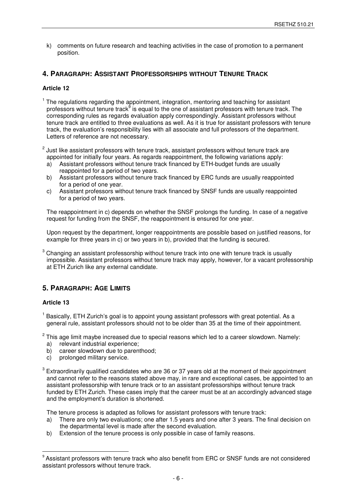k) comments on future research and teaching activities in the case of promotion to a permanent position.

## **4. PARAGRAPH: ASSISTANT PROFESSORSHIPS WITHOUT TENURE TRACK**

#### **Article 12**

- <sup>1</sup> The regulations regarding the appointment, integration, mentoring and teaching for assistant professors without tenure track<sup>9</sup> is equal to the one of assistant professors with tenure track. The corresponding rules as regards evaluation apply correspondingly. Assistant professors without tenure track are entitled to three evaluations as well. As it is true for assistant professors with tenure track, the evaluation's responsibility lies with all associate and full professors of the department. Letters of reference are not necessary.
- $^{2}$  Just like assistant professors with tenure track, assistant professors without tenure track are appointed for initially four years. As regards reappointment, the following variations apply:
	- a) Assistant professors without tenure track financed by ETH-budget funds are usually reappointed for a period of two years.
	- b) Assistant professors without tenure track financed by ERC funds are usually reappointed for a period of one year.
	- c) Assistant professors without tenure track financed by SNSF funds are usually reappointed for a period of two years.

 The reappointment in c) depends on whether the SNSF prolongs the funding. In case of a negative request for funding from the SNSF, the reappointment is ensured for one year.

 Upon request by the department, longer reappointments are possible based on justified reasons, for example for three years in c) or two years in b), provided that the funding is secured.

 $^3$  Changing an assistant professorship without tenure track into one with tenure track is usually impossible. Assistant professors without tenure track may apply, however, for a vacant professorship at ETH Zurich like any external candidate.

## **5. PARAGRAPH: AGE LIMITS**

#### **Article 13**

 $\overline{a}$ 

<sup>1</sup> Basically, ETH Zurich's goal is to appoint young assistant professors with great potential. As a general rule, assistant professors should not to be older than 35 at the time of their appointment.

 $2$  This age limit maybe increased due to special reasons which led to a career slowdown. Namely: a) relevant industrial experience;

- b) career slowdown due to parenthood:
- c) prolonged military service.
- $3$  Extraordinarily qualified candidates who are 36 or 37 years old at the moment of their appointment and cannot refer to the reasons stated above may, in rare and exceptional cases, be appointed to an assistant professorship with tenure track or to an assistant professorships without tenure track funded by ETH Zurich. These cases imply that the career must be at an accordingly advanced stage and the employment's duration is shortened.

The tenure process is adapted as follows for assistant professors with tenure track:

- a) There are only two evaluations; one after 1.5 years and one after 3 years. The final decision on the departmental level is made after the second evaluation.
- b) Extension of the tenure process is only possible in case of family reasons.

 $9$  Assistant professors with tenure track who also benefit from ERC or SNSF funds are not considered assistant professors without tenure track.